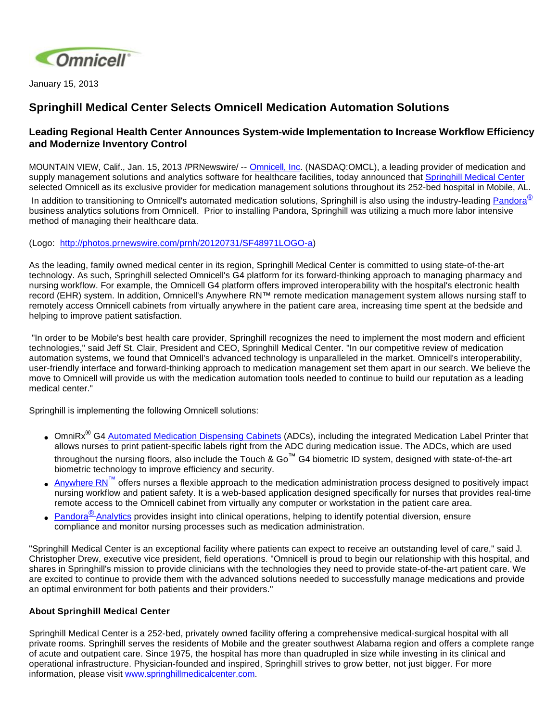

January 15, 2013

## **Springhill Medical Center Selects Omnicell Medication Automation Solutions**

## **Leading Regional Health Center Announces System-wide Implementation to Increase Workflow Efficiency and Modernize Inventory Control**

MOUNTAIN VIEW, Calif., Jan. 15, 2013 /PRNewswire/ -- [Omnicell, Inc.](http://www.omnicell.com/) (NASDAQ:OMCL), a leading provider of medication and supply management solutions and analytics software for healthcare facilities, today announced that [Springhill Medical Center](http://www.springhillmedicalcenter.com/) selected Omnicell as its exclusive provider for medication management solutions throughout its 252-bed hospital in Mobile, AL.

In addition to transitioning to Omnicell's automated medication solutions, Springhill is also using the industry-leading [Pandora](http://www.omnicell.com/Products/Business_Analytics/Pandora_Analytics.aspx)<sup>®</sup> business analytics solutions from Omnicell. Prior to installing Pandora, Springhill was utilizing a much more labor intensive method of managing their healthcare data.

(Logo: <http://photos.prnewswire.com/prnh/20120731/SF48971LOGO-a>)

As the leading, family owned medical center in its region, Springhill Medical Center is committed to using state-of-the-art technology. As such, Springhill selected Omnicell's G4 platform for its forward-thinking approach to managing pharmacy and nursing workflow. For example, the Omnicell G4 platform offers improved interoperability with the hospital's electronic health record (EHR) system. In addition, Omnicell's Anywhere RN™ remote medication management system allows nursing staff to remotely access Omnicell cabinets from virtually anywhere in the patient care area, increasing time spent at the bedside and helping to improve patient satisfaction.

 "In order to be Mobile's best health care provider, Springhill recognizes the need to implement the most modern and efficient technologies," said Jeff St. Clair, President and CEO, Springhill Medical Center. "In our competitive review of medication automation systems, we found that Omnicell's advanced technology is unparalleled in the market. Omnicell's interoperability, user-friendly interface and forward-thinking approach to medication management set them apart in our search. We believe the move to Omnicell will provide us with the medication automation tools needed to continue to build our reputation as a leading medical center."

Springhill is implementing the following Omnicell solutions:

- OmniRx<sup>®</sup> G4 [Automated Medication Dispensing Cabinets](http://www.omnicell.com/Products/Medication_Dispensing/Automated_Medication_Dispensing_Cabinets.aspx) (ADCs), including the integrated Medication Label Printer that allows nurses to print patient-specific labels right from the ADC during medication issue. The ADCs, which are used throughout the nursing floors, also include the Touch & Go™ G4 biometric ID system, designed with state-of-the-art biometric technology to improve efficiency and security.
- [Anywhere RN](http://www.omnicell.com/Products/Medication_Dispensing/Anywhere_RN_Remote_Medication_Management.aspx)<sup>™</sup> offers nurses a flexible approach to the medication administration process designed to positively impact nursing workflow and patient safety. It is a web-based application designed specifically for nurses that provides real-time remote access to the Omnicell cabinet from virtually any computer or workstation in the patient care area.
- Pandora<sup>®</sup> [Analytics](http://www.omnicell.com/Products/Business_Analytics/Pandora_Analytics.aspx) provides insight into clinical operations, helping to identify potential diversion, ensure compliance and monitor nursing processes such as medication administration.

"Springhill Medical Center is an exceptional facility where patients can expect to receive an outstanding level of care," said J. Christopher Drew, executive vice president, field operations. "Omnicell is proud to begin our relationship with this hospital, and shares in Springhill's mission to provide clinicians with the technologies they need to provide state-of-the-art patient care. We are excited to continue to provide them with the advanced solutions needed to successfully manage medications and provide an optimal environment for both patients and their providers."

## **About Springhill Medical Center**

Springhill Medical Center is a 252-bed, privately owned facility offering a comprehensive medical-surgical hospital with all private rooms. Springhill serves the residents of Mobile and the greater southwest Alabama region and offers a complete range of acute and outpatient care. Since 1975, the hospital has more than quadrupled in size while investing in its clinical and operational infrastructure. Physician-founded and inspired, Springhill strives to grow better, not just bigger. For more information, please visit [www.springhillmedicalcenter.com.](http://www.springhillmedicalcenter.com/)